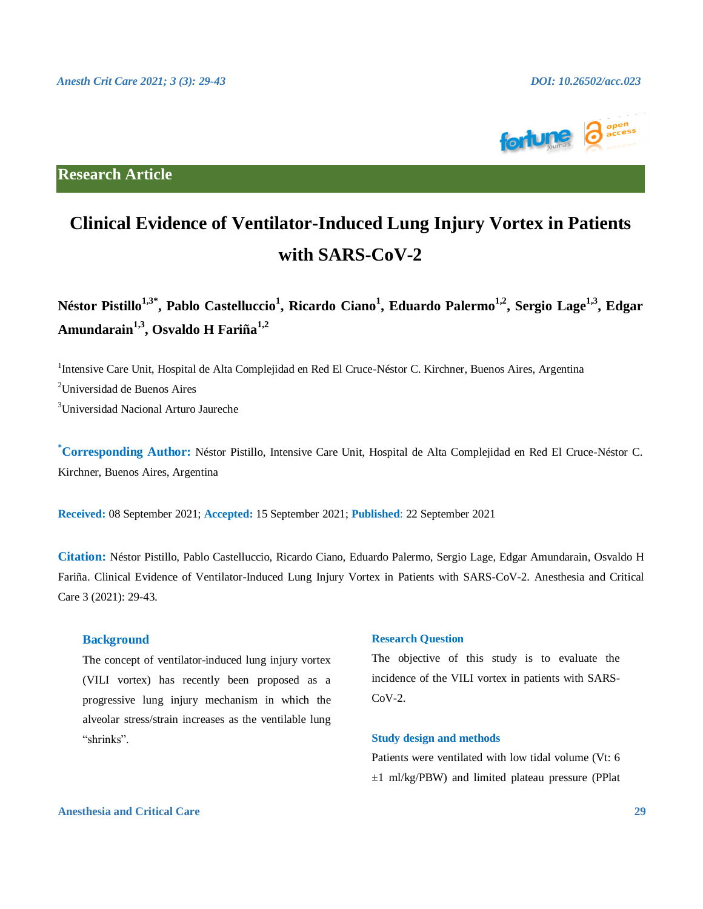

**Research Article**

# **Clinical Evidence of Ventilator-Induced Lung Injury Vortex in Patients with SARS-CoV-2**

 $N$ éstor Pistillo<sup>1,3\*</sup>, Pablo Castelluccio<sup>1</sup>, Ricardo Ciano<sup>1</sup>, Eduardo Palermo<sup>1,2</sup>, Sergio Lage<sup>1,3</sup>, Edgar **Amundarain 1,3, Osvaldo H Fariña1,2**

<sup>1</sup>Intensive Care Unit, Hospital de Alta Complejidad en Red El Cruce-Néstor C. Kirchner, Buenos Aires, Argentina <sup>2</sup>Universidad de Buenos Aires <sup>3</sup>Universidad Nacional Arturo Jaureche

**\*Corresponding Author:** Néstor Pistillo, Intensive Care Unit, Hospital de Alta Complejidad en Red El Cruce-Néstor C. Kirchner, Buenos Aires, Argentina

**Received:** 08 September 2021; **Accepted:** 15 September 2021; **Published**: 22 September 2021

**Citation:** Néstor Pistillo, Pablo Castelluccio, Ricardo Ciano, Eduardo Palermo, Sergio Lage, Edgar Amundarain, Osvaldo H Fariña. Clinical Evidence of Ventilator-Induced Lung Injury Vortex in Patients with SARS-CoV-2. Anesthesia and Critical Care 3 (2021): 29-43.

#### **Background**

The concept of ventilator-induced lung injury vortex (VILI vortex) has recently been proposed as a progressive lung injury mechanism in which the alveolar stress/strain increases as the ventilable lung "shrinks".

#### **Research Question**

The objective of this study is to evaluate the incidence of the VILI vortex in patients with SARS- $CoV-2$ .

#### **Study design and methods**

Patients were ventilated with low tidal volume (Vt: 6 ±1 ml/kg/PBW) and limited plateau pressure (PPlat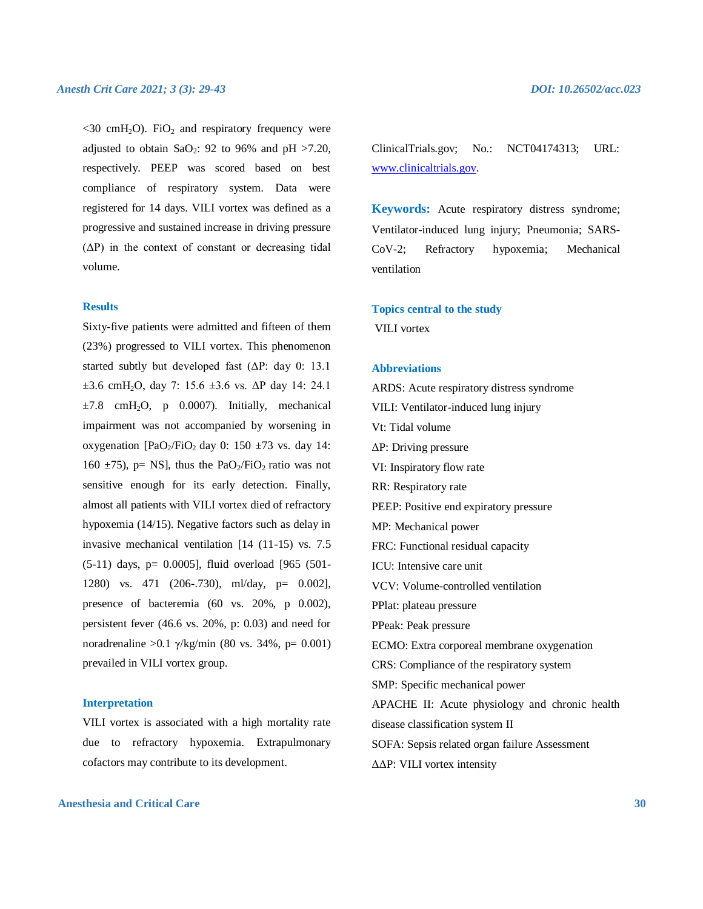$\langle 30 \text{ cm} H_2 \text{O} \rangle$ . FiO<sub>2</sub> and respiratory frequency were adjusted to obtain  $\text{SaO}_2$ : 92 to 96% and pH >7.20, respectively. PEEP was scored based on best compliance of respiratory system. Data were registered for 14 days. VILI vortex was defined as a progressive and sustained increase in driving pressure  $(\Delta P)$  in the context of constant or decreasing tidal volume.

#### **Results**

Sixty-five patients were admitted and fifteen of them (23%) progressed to VILI vortex. This phenomenon started subtly but developed fast (ΔP: day 0: 13.1  $\pm 3.6$  cmH<sub>2</sub>O, day 7: 15.6  $\pm 3.6$  vs.  $\Delta P$  day 14: 24.1  $\pm 7.8$  cmH<sub>2</sub>O, p 0.0007). Initially, mechanical impairment was not accompanied by worsening in oxygenation [PaO<sub>2</sub>/FiO<sub>2</sub> day 0: 150  $\pm$ 73 vs. day 14: 160  $\pm$ 75), p= NS], thus the PaO<sub>2</sub>/FiO<sub>2</sub> ratio was not sensitive enough for its early detection. Finally, almost all patients with VILI vortex died of refractory hypoxemia (14/15). Negative factors such as delay in invasive mechanical ventilation [14 (11-15) vs. 7.5 (5-11) days, p= 0.0005], fluid overload [965 (501- 1280) vs. 471 (206-.730), ml/day, p= 0.002], presence of bacteremia (60 vs. 20%, p 0.002), persistent fever (46.6 vs. 20%, p: 0.03) and need for noradrenaline > 0.1 γ/kg/min (80 vs. 34%, p= 0.001) prevailed in VILI vortex group.

#### **Interpretation**

VILI vortex is associated with a high mortality rate due to refractory hypoxemia. Extrapulmonary cofactors may contribute to its development.

ClinicalTrials.gov; No.: NCT04174313; URL: [www.clinicaltrials.gov.](http://www.clinicaltrials.gov/)

**Keywords:** Acute respiratory distress syndrome; Ventilator-induced lung injury; Pneumonia; SARS-CoV-2; Refractory hypoxemia; Mechanical ventilation

## **Topics central to the study**

VILI vortex

#### **Abbreviations**

ARDS: Acute respiratory distress syndrome VILI: Ventilator-induced lung injury Vt: Tidal volume ΔP: Driving pressure VI: Inspiratory flow rate RR: Respiratory rate PEEP: Positive end expiratory pressure MP: Mechanical power FRC: Functional residual capacity ICU: Intensive care unit VCV: Volume-controlled ventilation PPlat: plateau pressure PPeak: Peak pressure ECMO: Extra corporeal membrane oxygenation CRS: Compliance of the respiratory system SMP: Specific mechanical power APACHE II: Acute physiology and chronic health disease classification system II SOFA: Sepsis related organ failure Assessment ΔΔP: VILI vortex intensity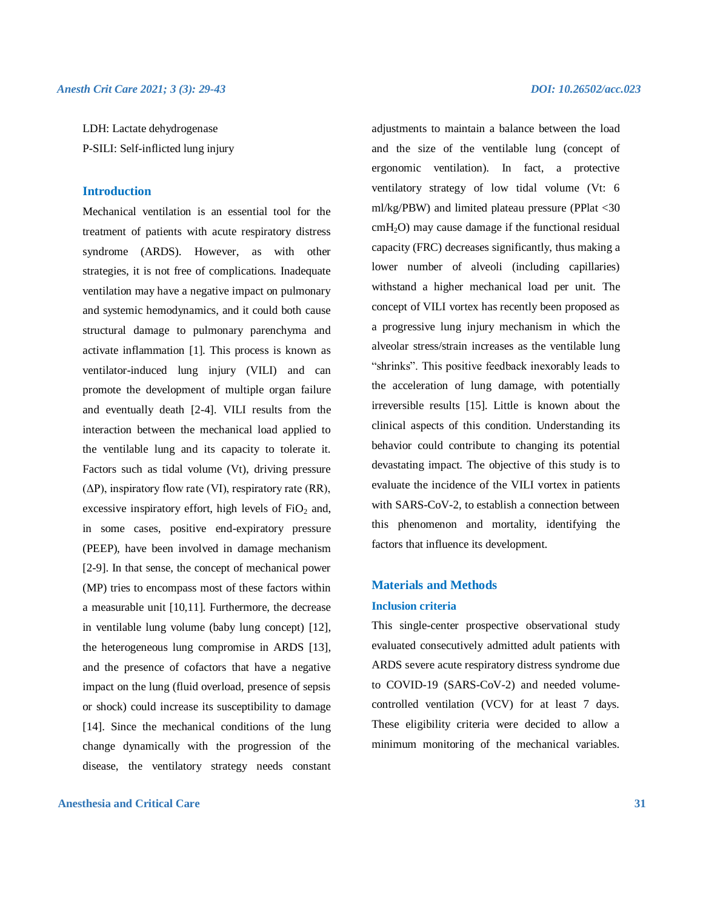LDH: Lactate dehydrogenase P-SILI: Self-inflicted lung injury

#### **Introduction**

Mechanical ventilation is an essential tool for the treatment of patients with acute respiratory distress syndrome (ARDS). However, as with other strategies, it is not free of complications. Inadequate ventilation may have a negative impact on pulmonary and systemic hemodynamics, and it could both cause structural damage to pulmonary parenchyma and activate inflammation [1]. This process is known as ventilator-induced lung injury (VILI) and can promote the development of multiple organ failure and eventually death [2-4]. VILI results from the interaction between the mechanical load applied to the ventilable lung and its capacity to tolerate it. Factors such as tidal volume (Vt), driving pressure  $(\Delta P)$ , inspiratory flow rate (VI), respiratory rate (RR), excessive inspiratory effort, high levels of  $FiO<sub>2</sub>$  and, in some cases, positive end-expiratory pressure (PEEP), have been involved in damage mechanism [2-9]. In that sense, the concept of mechanical power (MP) tries to encompass most of these factors within a measurable unit [10,11]. Furthermore, the decrease in ventilable lung volume (baby lung concept) [12], the heterogeneous lung compromise in ARDS [13], and the presence of cofactors that have a negative impact on the lung (fluid overload, presence of sepsis or shock) could increase its susceptibility to damage [14]. Since the mechanical conditions of the lung change dynamically with the progression of the disease, the ventilatory strategy needs constant

#### **Anesthesia and Critical Care 31**

adjustments to maintain a balance between the load and the size of the ventilable lung (concept of ergonomic ventilation). In fact, a protective ventilatory strategy of low tidal volume (Vt: 6 ml/kg/PBW) and limited plateau pressure (PPlat <30  $cmH<sub>2</sub>O$ ) may cause damage if the functional residual capacity (FRC) decreases significantly, thus making a lower number of alveoli (including capillaries) withstand a higher mechanical load per unit. The concept of VILI vortex has recently been proposed as a progressive lung injury mechanism in which the alveolar stress/strain increases as the ventilable lung "shrinks". This positive feedback inexorably leads to the acceleration of lung damage, with potentially irreversible results [15]. Little is known about the clinical aspects of this condition. Understanding its behavior could contribute to changing its potential devastating impact. The objective of this study is to evaluate the incidence of the VILI vortex in patients with SARS-CoV-2, to establish a connection between this phenomenon and mortality, identifying the factors that influence its development.

### **Materials and Methods Inclusion criteria**

This single-center prospective observational study evaluated consecutively admitted adult patients with ARDS severe acute respiratory distress syndrome due to COVID-19 (SARS-CoV-2) and needed volumecontrolled ventilation (VCV) for at least 7 days. These eligibility criteria were decided to allow a minimum monitoring of the mechanical variables.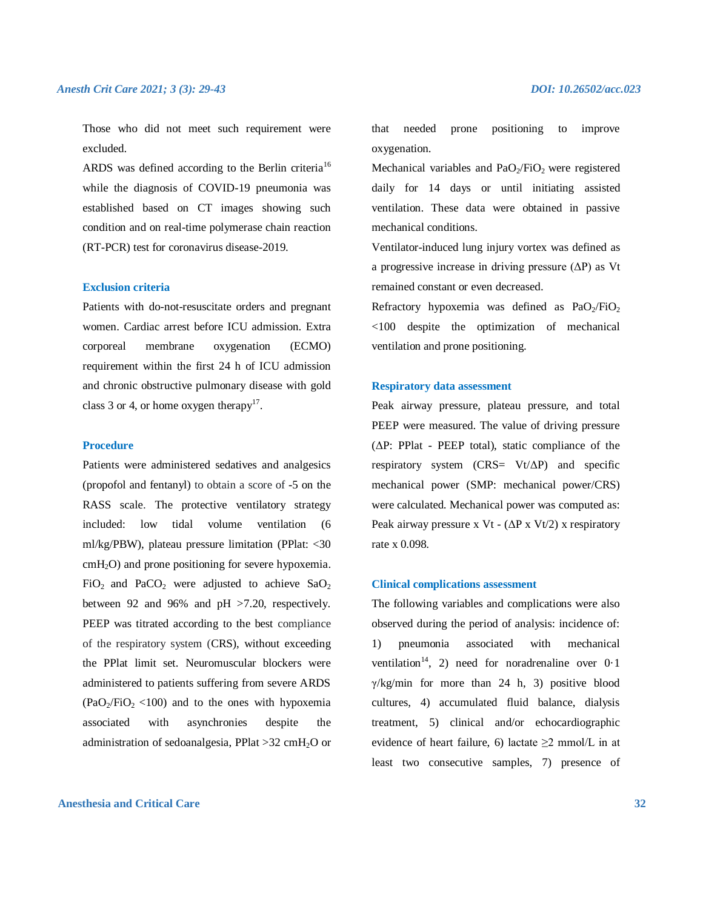Those who did not meet such requirement were excluded.

ARDS was defined according to the Berlin criteria<sup>16</sup> while the diagnosis of COVID-19 pneumonia was established based on CT images showing such condition and on real-time polymerase chain reaction (RT-PCR) test for coronavirus disease-2019.

#### **Exclusion criteria**

Patients with do-not-resuscitate orders and pregnant women. Cardiac arrest before ICU admission. Extra corporeal membrane oxygenation (ECMO) requirement within the first 24 h of ICU admission and chronic obstructive pulmonary disease with gold class 3 or 4, or home oxygen therapy<sup>17</sup>.

#### **Procedure**

Patients were administered sedatives and analgesics (propofol and fentanyl) to obtain a score of -5 on the RASS scale. The protective ventilatory strategy included: low tidal volume ventilation (6 ml/kg/PBW), plateau pressure limitation (PPlat: <30  $cmH<sub>2</sub>O$ ) and prone positioning for severe hypoxemia.  $FiO<sub>2</sub>$  and PaCO<sub>2</sub> were adjusted to achieve SaO<sub>2</sub> between 92 and 96% and pH >7.20, respectively. PEEP was titrated according to the best compliance of the respiratory system (CRS), without exceeding the PPlat limit set. Neuromuscular blockers were administered to patients suffering from severe ARDS  $(PaO<sub>2</sub>/FiO<sub>2</sub> < 100)$  and to the ones with hypoxemia associated with asynchronies despite the administration of sedoanalgesia, PPlat  $>32$  cmH<sub>2</sub>O or

**Anesthesia and Critical Care 32**

that needed prone positioning to improve oxygenation.

Mechanical variables and  $PaO<sub>2</sub>/FiO<sub>2</sub>$  were registered daily for 14 days or until initiating assisted ventilation. These data were obtained in passive mechanical conditions.

Ventilator-induced lung injury vortex was defined as a progressive increase in driving pressure  $(\Delta P)$  as Vt remained constant or even decreased.

Refractory hypoxemia was defined as  $PaO<sub>2</sub>/FiO<sub>2</sub>$ <100 despite the optimization of mechanical ventilation and prone positioning.

#### **Respiratory data assessment**

Peak airway pressure, plateau pressure, and total PEEP were measured. The value of driving pressure (ΔP: PPlat - PEEP total), static compliance of the respiratory system (CRS=  $Vt/\Delta P$ ) and specific mechanical power (SMP: mechanical power/CRS) were calculated. Mechanical power was computed as: Peak airway pressure x Vt -  $(\Delta P \times Vt/2)$  x respiratory rate x 0.098.

#### **Clinical complications assessment**

The following variables and complications were also observed during the period of analysis: incidence of: 1) pneumonia associated with mechanical ventilation<sup>14</sup>, 2) need for noradrenaline over  $0.1$  $\gamma$ /kg/min for more than 24 h, 3) positive blood cultures, 4) accumulated fluid balance, dialysis treatment, 5) clinical and/or echocardiographic evidence of heart failure, 6) lactate  $\geq 2$  mmol/L in at least two consecutive samples, 7) presence of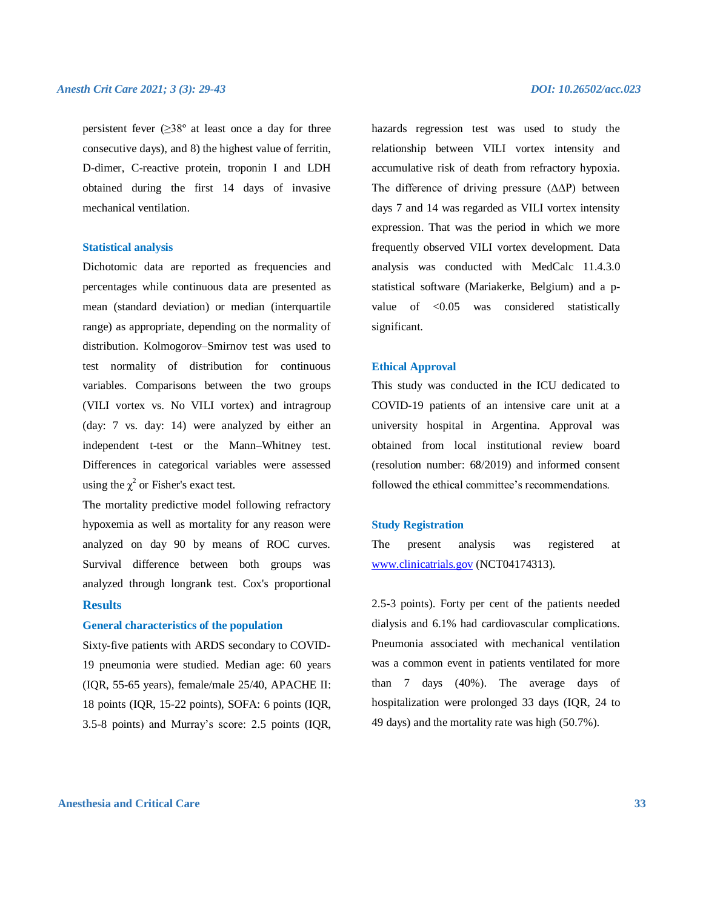persistent fever  $(\geq 38^{\circ}$  at least once a day for three consecutive days), and 8) the highest value of ferritin, D-dimer, C-reactive protein, troponin I and LDH obtained during the first 14 days of invasive mechanical ventilation.

#### **Statistical analysis**

Dichotomic data are reported as frequencies and percentages while continuous data are presented as mean (standard deviation) or median (interquartile range) as appropriate, depending on the normality of distribution. Kolmogorov–Smirnov test was used to test normality of distribution for continuous variables. Comparisons between the two groups (VILI vortex vs. No VILI vortex) and intragroup (day: 7 vs. day: 14) were analyzed by either an independent t-test or the Mann–Whitney test. Differences in categorical variables were assessed using the  $\chi^2$  or Fisher's exact test.

The mortality predictive model following refractory hypoxemia as well as mortality for any reason were analyzed on day 90 by means of ROC curves. Survival difference between both groups was analyzed through longrank test. Cox's proportional

#### **Results**

#### **General characteristics of the population**

Sixty-five patients with ARDS secondary to COVID-19 pneumonia were studied. Median age: 60 years (IQR, 55-65 years), female/male 25/40, APACHE II: 18 points (IQR, 15-22 points), SOFA: 6 points (IQR, 3.5-8 points) and Murray's score: 2.5 points (IQR, hazards regression test was used to study the relationship between VILI vortex intensity and accumulative risk of death from refractory hypoxia. The difference of driving pressure (ΔΔP) between days 7 and 14 was regarded as VILI vortex intensity expression. That was the period in which we more frequently observed VILI vortex development. Data analysis was conducted with MedCalc 11.4.3.0 statistical software (Mariakerke, Belgium) and a pvalue of <0.05 was considered statistically significant.

#### **Ethical Approval**

This study was conducted in the ICU dedicated to COVID-19 patients of an intensive care unit at a university hospital in Argentina. Approval was obtained from local institutional review board (resolution number: 68/2019) and informed consent followed the ethical committee's recommendations.

#### **Study Registration**

The present analysis was registered at [www.clinicatrials.gov](http://www.clinicatrials.gov/) (NCT04174313).

2.5-3 points). Forty per cent of the patients needed dialysis and 6.1% had cardiovascular complications. Pneumonia associated with mechanical ventilation was a common event in patients ventilated for more than 7 days (40%). The average days of hospitalization were prolonged 33 days (IQR, 24 to 49 days) and the mortality rate was high (50.7%).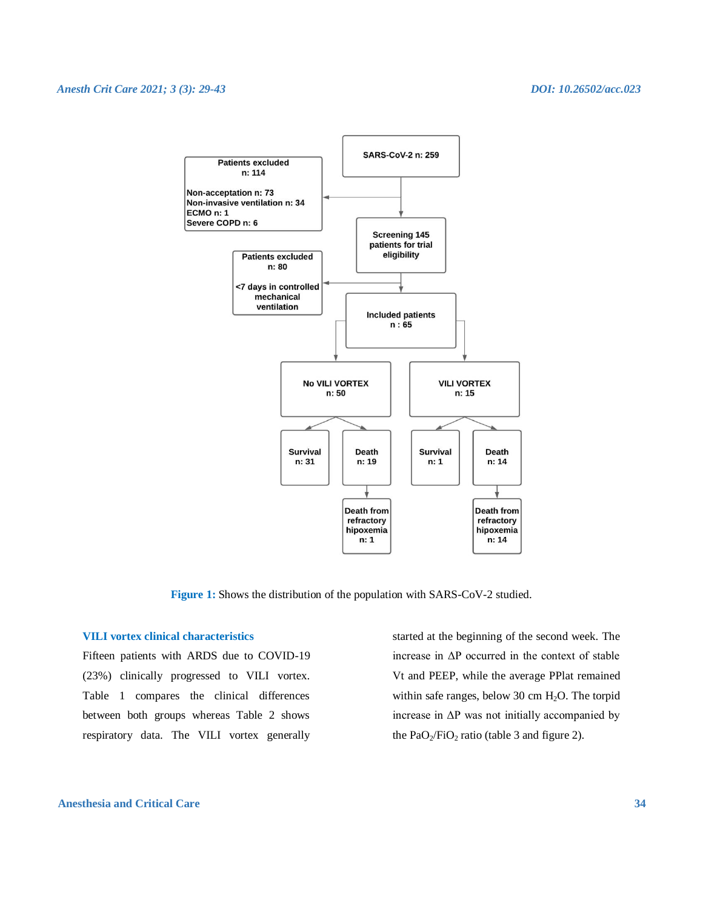

**Figure 1:** Shows the distribution of the population with SARS-CoV-2 studied.

#### **VILI vortex clinical characteristics**

Fifteen patients with ARDS due to COVID-19 (23%) clinically progressed to VILI vortex. Table 1 compares the clinical differences between both groups whereas Table 2 shows respiratory data. The VILI vortex generally

started at the beginning of the second week. The increase in ΔP occurred in the context of stable Vt and PEEP, while the average PPlat remained within safe ranges, below 30 cm H<sub>2</sub>O. The torpid increase in  $\Delta P$  was not initially accompanied by the  $PaO<sub>2</sub>/FiO<sub>2</sub>$  ratio (table 3 and figure 2).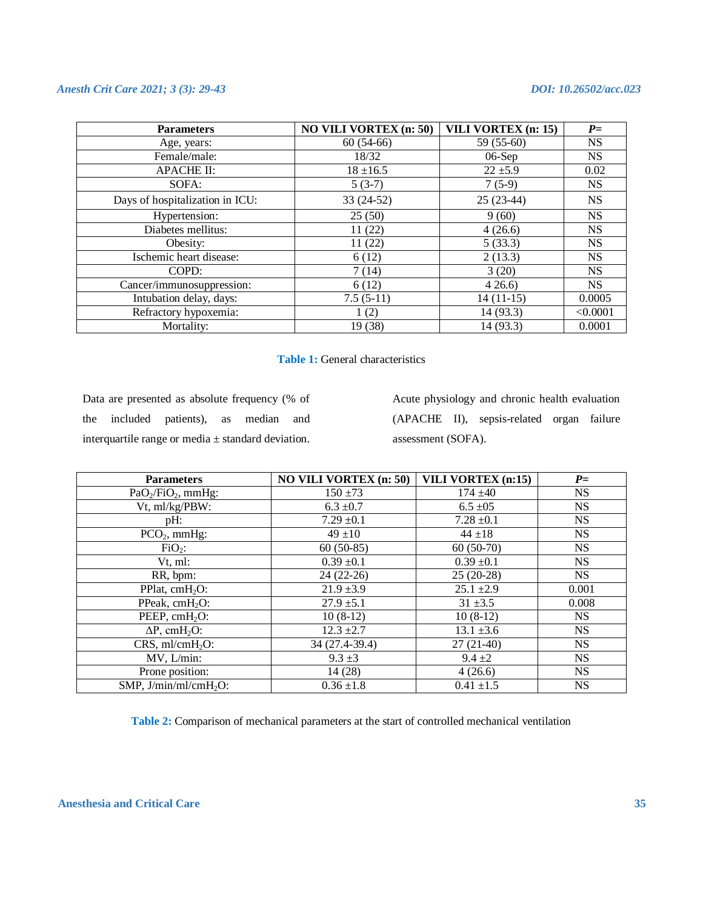| <b>Parameters</b>               | <b>NO VILI VORTEX (n: 50)</b> | VILI VORTEX (n: 15) | $P=$      |
|---------------------------------|-------------------------------|---------------------|-----------|
| Age, years:                     | $60(54-66)$                   | 59 (55-60)          | <b>NS</b> |
| Female/male:                    | 18/32                         | $06-Sep$            | <b>NS</b> |
| <b>APACHE II:</b>               | $18 \pm 16.5$                 | $22 \pm 5.9$        | 0.02      |
| SOFA:                           | $5(3-7)$                      | $7(5-9)$            | <b>NS</b> |
| Days of hospitalization in ICU: | 33 (24-52)                    | $25(23-44)$         | <b>NS</b> |
| Hypertension:                   | 25(50)                        | 9(60)               | <b>NS</b> |
| Diabetes mellitus:              | 11(22)                        | 4(26.6)             | <b>NS</b> |
| Obesity:                        | 11(22)                        | 5(33.3)             | <b>NS</b> |
| Ischemic heart disease:         | 6(12)                         | 2(13.3)             | <b>NS</b> |
| COPD:                           | 7(14)                         | 3(20)               | <b>NS</b> |
| Cancer/immunosuppression:       | 6(12)                         | 426.6               | <b>NS</b> |
| Intubation delay, days:         | $7.5(5-11)$                   | $14(11-15)$         | 0.0005    |
| Refractory hypoxemia:           | 1(2)                          | 14 (93.3)           | < 0.0001  |
| Mortality:                      | 19 (38)                       | 14 (93.3)           | 0.0001    |

| <b>Table 1:</b> General characteristics |  |
|-----------------------------------------|--|
|-----------------------------------------|--|

Data are presented as absolute frequency (% of the included patients), as median and interquartile range or media ± standard deviation.

Acute physiology and chronic health evaluation (APACHE II), sepsis-related organ failure assessment (SOFA).

| <b>Parameters</b>                | <b>NO VILI VORTEX (n: 50)</b> | <b>VILI VORTEX (n:15)</b> | $P=$      |
|----------------------------------|-------------------------------|---------------------------|-----------|
| $PaO2/FiO2$ , mmHg:              | $150 \pm 73$                  | $174 + 40$                | <b>NS</b> |
| Vt, ml/kg/PBW:                   | $6.3 \pm 0.7$                 | $6.5 \pm 0.5$             | <b>NS</b> |
| pH:                              | $7.29 \pm 0.1$                | $7.28 \pm 0.1$            | <b>NS</b> |
| $PCO2$ , mmHg:                   | $49 + 10$                     | $44 + 18$                 | <b>NS</b> |
| $FiO2$ :                         | $60(50-85)$                   | $60(50-70)$               | <b>NS</b> |
| Vt. ml:                          | $0.39 \pm 0.1$                | $0.39 \pm 0.1$            | <b>NS</b> |
| RR, bpm:                         | $24(22-26)$                   | $25(20-28)$               | <b>NS</b> |
| PPlat, $cmH2O$ :                 | $21.9 \pm 3.9$                | $25.1 \pm 2.9$            | 0.001     |
| PPeak, cmH <sub>2</sub> O:       | $27.9 \pm 5.1$                | $31 \pm 3.5$              | 0.008     |
| PEEP, cmH <sub>2</sub> O:        | $10(8-12)$                    | $10(8-12)$                | <b>NS</b> |
| $\Delta P$ , cmH <sub>2</sub> O: | $12.3 \pm 2.7$                | $13.1 \pm 3.6$            | <b>NS</b> |
| $CRS$ , ml/cm $H_2O$ :           | 34 (27.4-39.4)                | $27(21-40)$               | <b>NS</b> |
| MV, L/min:                       | $9.3 \pm 3$                   | $9.4 \pm 2$               | <b>NS</b> |
| Prone position:                  | 14(28)                        | 4(26.6)                   | <b>NS</b> |
| $SMP$ , $J/min/ml/cmH2O$ :       | $0.36 \pm 1.8$                | $0.41 \pm 1.5$            | <b>NS</b> |

**Table 2:** Comparison of mechanical parameters at the start of controlled mechanical ventilation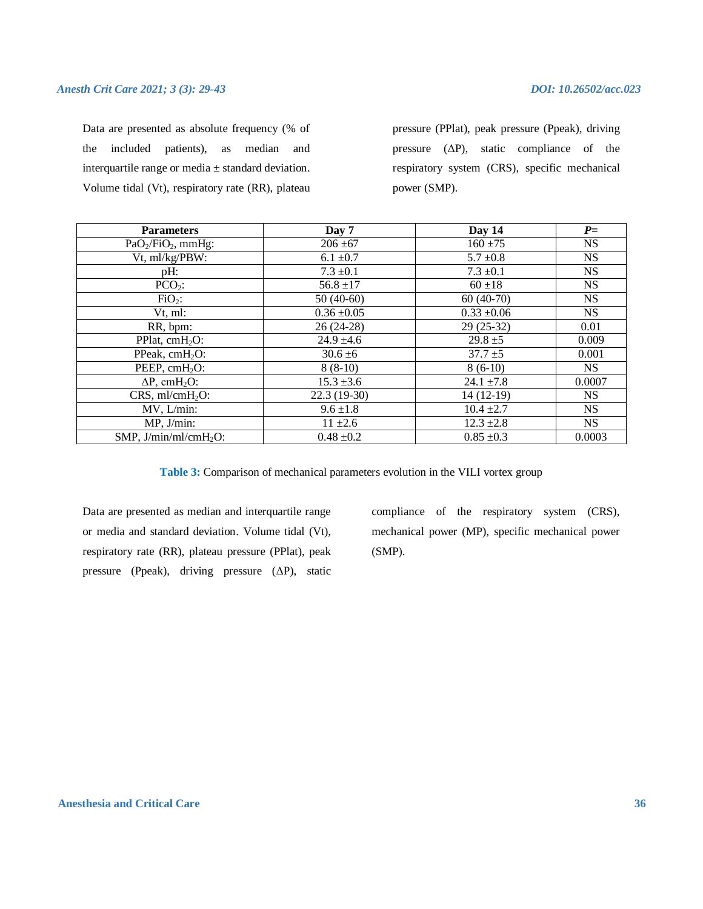Data are presented as absolute frequency (% of the included patients), as median and interquartile range or media  $\pm$  standard deviation. Volume tidal (Vt), respiratory rate (RR), plateau pressure (PPlat), peak pressure (Ppeak), driving pressure  $(\Delta P)$ , static compliance of the respiratory system (CRS), specific mechanical power (SMP).

| <b>Parameters</b>                | Day 7           | Day 14          | $P=$      |
|----------------------------------|-----------------|-----------------|-----------|
| $PaO2/FiO2$ , mmHg:              | $206 \pm 67$    | $160 + 75$      | <b>NS</b> |
| Vt, ml/kg/PBW:                   | $6.1 \pm 0.7$   | $5.7 \pm 0.8$   | <b>NS</b> |
| pH:                              | $7.3 \pm 0.1$   | $7.3 \pm 0.1$   | <b>NS</b> |
| $PCO2$ :                         | $56.8 \pm 17$   | $60 + 18$       | <b>NS</b> |
| $FiO2$ :                         | $50(40-60)$     | $60(40-70)$     | <b>NS</b> |
| Vt, ml:                          | $0.36 \pm 0.05$ | $0.33 \pm 0.06$ | <b>NS</b> |
| RR, bpm:                         | $26(24-28)$     | $29(25-32)$     | 0.01      |
| PPlat, $cmH2O$ :                 | $24.9 \pm 4.6$  | $29.8 \pm 5$    | 0.009     |
| PPeak, $cmH2O$ :                 | $30.6 \pm 6$    | $37.7 \pm 5$    | 0.001     |
| PEEP, $cmH2O$ :                  | $8(8-10)$       | $8(6-10)$       | <b>NS</b> |
| $\Delta P$ , cmH <sub>2</sub> O: | $15.3 \pm 3.6$  | 24.1 $\pm 7.8$  | 0.0007    |
| $CRS$ , ml/cm $H_2O$ :           | $22.3(19-30)$   | $14(12-19)$     | <b>NS</b> |
| MV, L/min:                       | $9.6 \pm 1.8$   | $10.4 \pm 2.7$  | <b>NS</b> |
| MP, J/min:                       | $11 \pm 2.6$    | $12.3 \pm 2.8$  | <b>NS</b> |
| SMP, $J/min/ml/cmH2O$ :          | $0.48 \pm 0.2$  | $0.85 \pm 0.3$  | 0.0003    |

**Table 3:** Comparison of mechanical parameters evolution in the VILI vortex group

Data are presented as median and interquartile range or media and standard deviation. Volume tidal (Vt), respiratory rate (RR), plateau pressure (PPlat), peak pressure (Ppeak), driving pressure (ΔP), static compliance of the respiratory system (CRS), mechanical power (MP), specific mechanical power (SMP).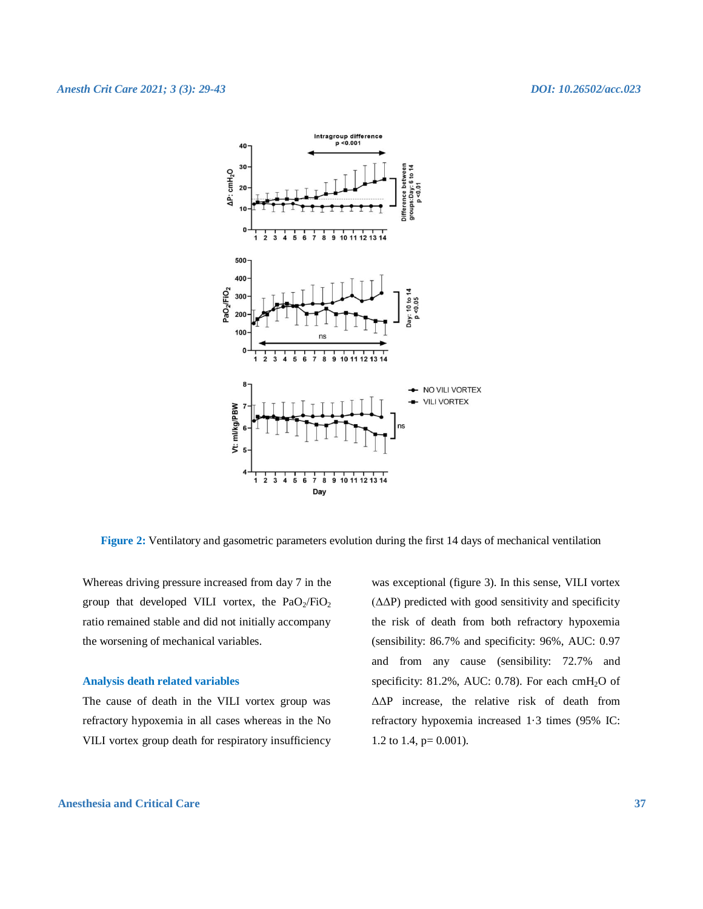

**Figure 2:** Ventilatory and gasometric parameters evolution during the first 14 days of mechanical ventilation

Whereas driving pressure increased from day 7 in the group that developed VILI vortex, the  $PaO<sub>2</sub>/FiO<sub>2</sub>$ ratio remained stable and did not initially accompany the worsening of mechanical variables.

#### **Analysis death related variables**

The cause of death in the VILI vortex group was refractory hypoxemia in all cases whereas in the No VILI vortex group death for respiratory insufficiency

was exceptional (figure 3). In this sense, VILI vortex  $(\Delta \Delta P)$  predicted with good sensitivity and specificity the risk of death from both refractory hypoxemia (sensibility: 86.7% and specificity: 96%, AUC: 0.97 and from any cause (sensibility: 72.7% and specificity: 81.2%, AUC: 0.78). For each cmH<sub>2</sub>O of ΔΔP increase, the relative risk of death from refractory hypoxemia increased 1·3 times (95% IC: 1.2 to 1.4, p= 0.001).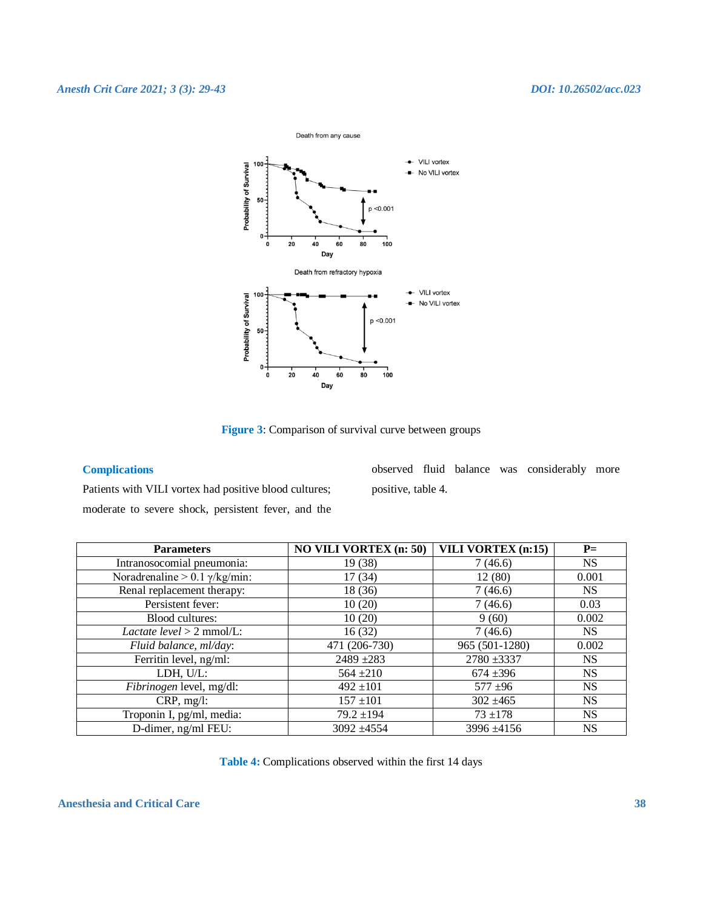

**Figure 3**: Comparison of survival curve between groups

#### **Complications**

Patients with VILI vortex had positive blood cultures; moderate to severe shock, persistent fever, and the observed fluid balance was considerably more positive, table 4.

| <b>Parameters</b>                     | <b>NO VILI VORTEX (n: 50)</b> | $\overline{\text{VILI VORTEX}}$ (n:15) | $P=$      |
|---------------------------------------|-------------------------------|----------------------------------------|-----------|
| Intranosocomial pneumonia:            | 19 (38)                       | 7(46.6)                                | <b>NS</b> |
| Noradrenaline > 0.1 $\gamma$ /kg/min: | 17(34)                        | 12(80)                                 | 0.001     |
| Renal replacement therapy:            | 18 (36)                       | 7(46.6)                                | NS.       |
| Persistent fever:                     | 10(20)                        | 7(46.6)                                | 0.03      |
| Blood cultures:                       | 10(20)                        | 9(60)                                  | 0.002     |
| Lactate $level > 2$ mmol/L:           | 16(32)                        | 7(46.6)                                | <b>NS</b> |
| Fluid balance, ml/day:                | 471 (206-730)                 | 965 (501-1280)                         | 0.002     |
| Ferritin level, ng/ml:                | $2489 + 283$                  | $2780 + 3337$                          | <b>NS</b> |
| LDH, U/L:                             | $564 + 210$                   | $674 + 396$                            | <b>NS</b> |
| Fibrinogen level, mg/dl:              | $492 \pm 101$                 | $577 + 96$                             | <b>NS</b> |
| CRP, mg/l:                            | $157 \pm 101$                 | $302 \pm 465$                          | <b>NS</b> |
| Troponin I, pg/ml, media:             | $79.2 \pm 194$                | $73 + 178$                             | <b>NS</b> |
| D-dimer, ng/ml FEU:                   | $3092 + 4554$                 | $3996 + 4156$                          | <b>NS</b> |

**Table 4:** Complications observed within the first 14 days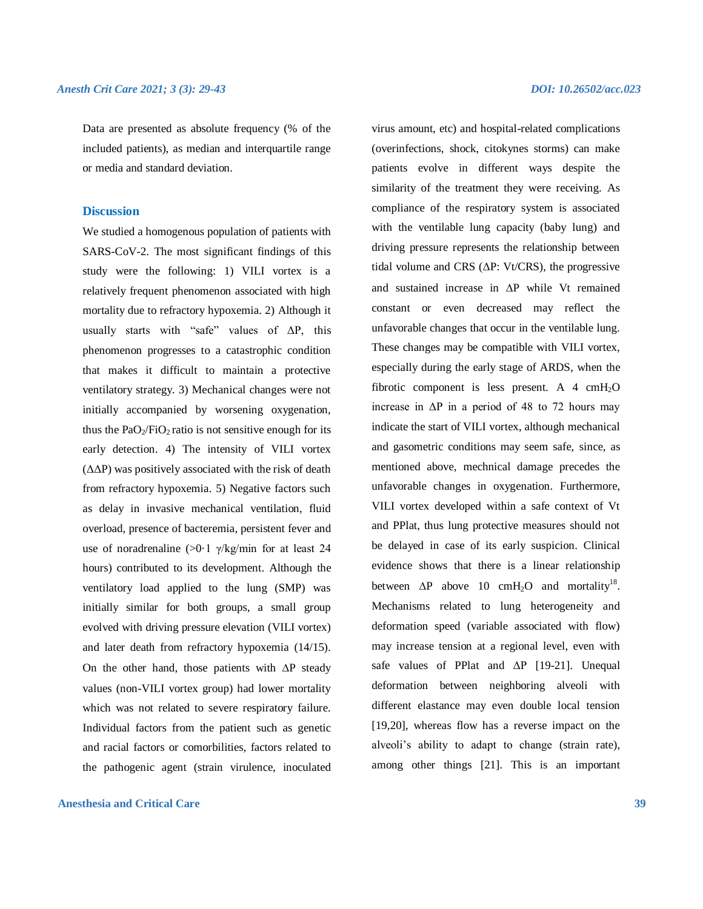Data are presented as absolute frequency (% of the included patients), as median and interquartile range or media and standard deviation.

#### **Discussion**

We studied a homogenous population of patients with SARS-CoV-2. The most significant findings of this study were the following: 1) VILI vortex is a relatively frequent phenomenon associated with high mortality due to refractory hypoxemia. 2) Although it usually starts with "safe" values of ΔP, this phenomenon progresses to a catastrophic condition that makes it difficult to maintain a protective ventilatory strategy. 3) Mechanical changes were not initially accompanied by worsening oxygenation, thus the  $PaO<sub>2</sub>/FiO<sub>2</sub>$  ratio is not sensitive enough for its early detection. 4) The intensity of VILI vortex (ΔΔP) was positively associated with the risk of death from refractory hypoxemia. 5) Negative factors such as delay in invasive mechanical ventilation, fluid overload, presence of bacteremia, persistent fever and use of noradrenaline  $(>0.1 \sqrt{k})$  for at least 24 hours) contributed to its development. Although the ventilatory load applied to the lung (SMP) was initially similar for both groups, a small group evolved with driving pressure elevation (VILI vortex) and later death from refractory hypoxemia (14/15). On the other hand, those patients with  $\Delta P$  steady values (non-VILI vortex group) had lower mortality which was not related to severe respiratory failure. Individual factors from the patient such as genetic and racial factors or comorbilities, factors related to the pathogenic agent (strain virulence, inoculated

#### **Anesthesia and Critical Care 39**

virus amount, etc) and hospital-related complications (overinfections, shock, citokynes storms) can make patients evolve in different ways despite the similarity of the treatment they were receiving. As compliance of the respiratory system is associated with the ventilable lung capacity (baby lung) and driving pressure represents the relationship between tidal volume and CRS ( $\Delta P$ : Vt/CRS), the progressive and sustained increase in  $\Delta P$  while Vt remained constant or even decreased may reflect the unfavorable changes that occur in the ventilable lung. These changes may be compatible with VILI vortex, especially during the early stage of ARDS, when the fibrotic component is less present. A  $4 \text{ cmH}_2\text{O}$ increase in  $\Delta P$  in a period of 48 to 72 hours may indicate the start of VILI vortex, although mechanical and gasometric conditions may seem safe, since, as mentioned above, mechnical damage precedes the unfavorable changes in oxygenation. Furthermore, VILI vortex developed within a safe context of Vt and PPlat, thus lung protective measures should not be delayed in case of its early suspicion. Clinical evidence shows that there is a linear relationship between  $\Delta P$  above 10 cmH<sub>2</sub>O and mortality<sup>18</sup>. Mechanisms related to lung heterogeneity and deformation speed (variable associated with flow) may increase tension at a regional level, even with safe values of PPlat and ΔP [19-21]. Unequal deformation between neighboring alveoli with different elastance may even double local tension [19,20], whereas flow has a reverse impact on the alveoli's ability to adapt to change (strain rate), among other things [21]. This is an important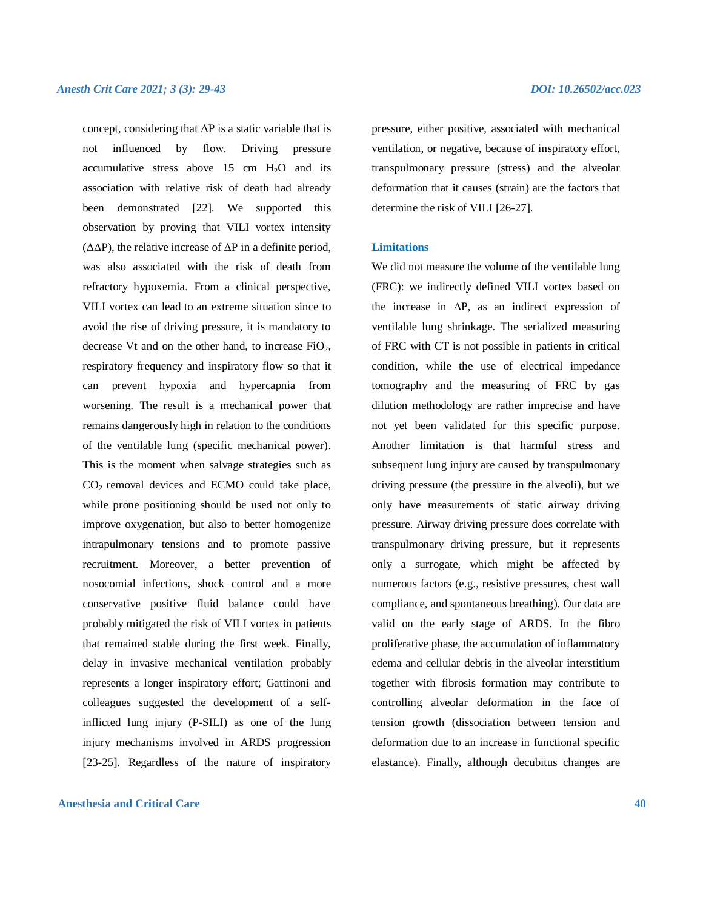concept, considering that  $\Delta P$  is a static variable that is not influenced by flow. Driving pressure accumulative stress above 15 cm  $H_2O$  and its association with relative risk of death had already been demonstrated [22]. We supported this observation by proving that VILI vortex intensity (ΔΔP), the relative increase of ΔP in a definite period, was also associated with the risk of death from refractory hypoxemia. From a clinical perspective, VILI vortex can lead to an extreme situation since to avoid the rise of driving pressure, it is mandatory to decrease Vt and on the other hand, to increase  $FiO<sub>2</sub>$ , respiratory frequency and inspiratory flow so that it can prevent hypoxia and hypercapnia from worsening. The result is a mechanical power that remains dangerously high in relation to the conditions of the ventilable lung (specific mechanical power). This is the moment when salvage strategies such as CO2 removal devices and ECMO could take place, while prone positioning should be used not only to improve oxygenation, but also to better homogenize intrapulmonary tensions and to promote passive recruitment. Moreover, a better prevention of nosocomial infections, shock control and a more conservative positive fluid balance could have probably mitigated the risk of VILI vortex in patients that remained stable during the first week. Finally, delay in invasive mechanical ventilation probably represents a longer inspiratory effort; Gattinoni and colleagues suggested the development of a selfinflicted lung injury (P-SILI) as one of the lung injury mechanisms involved in ARDS progression [23-25]. Regardless of the nature of inspiratory

#### **Anesthesia and Critical Care 40**

pressure, either positive, associated with mechanical ventilation, or negative, because of inspiratory effort, transpulmonary pressure (stress) and the alveolar deformation that it causes (strain) are the factors that determine the risk of VILI [26-27].

#### **Limitations**

We did not measure the volume of the ventilable lung (FRC): we indirectly defined VILI vortex based on the increase in  $\Delta P$ , as an indirect expression of ventilable lung shrinkage. The serialized measuring of FRC with CT is not possible in patients in critical condition, while the use of electrical impedance tomography and the measuring of FRC by gas dilution methodology are rather imprecise and have not yet been validated for this specific purpose. Another limitation is that harmful stress and subsequent lung injury are caused by transpulmonary driving pressure (the pressure in the alveoli), but we only have measurements of static airway driving pressure. Airway driving pressure does correlate with transpulmonary driving pressure, but it represents only a surrogate, which might be affected by numerous factors (e.g., resistive pressures, chest wall compliance, and spontaneous breathing). Our data are valid on the early stage of ARDS. In the fibro proliferative phase, the accumulation of inflammatory edema and cellular debris in the alveolar interstitium together with fibrosis formation may contribute to controlling alveolar deformation in the face of tension growth (dissociation between tension and deformation due to an increase in functional specific elastance). Finally, although decubitus changes are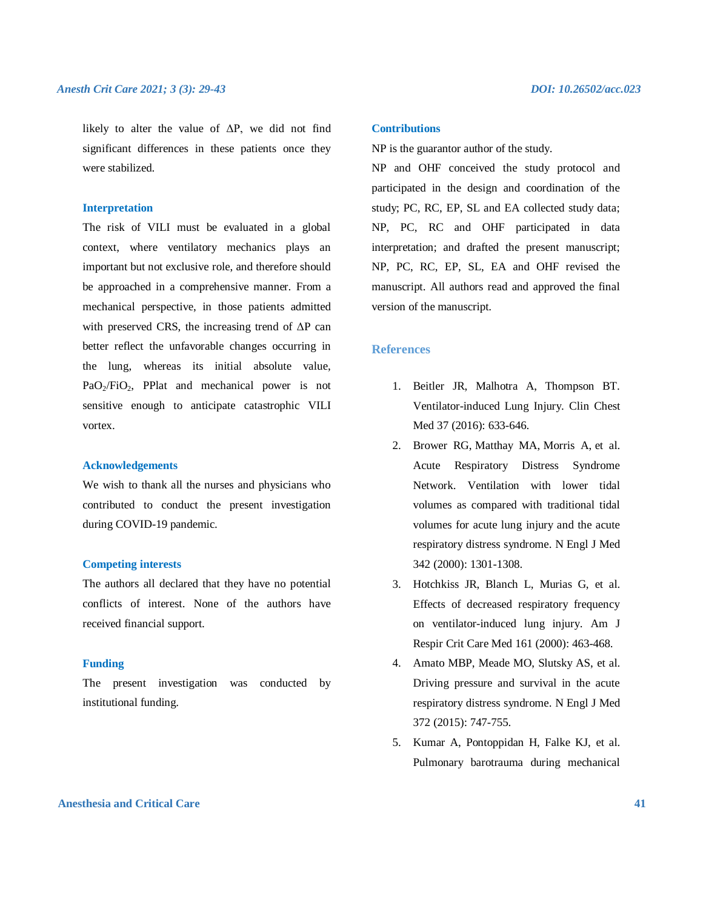likely to alter the value of  $\Delta P$ , we did not find significant differences in these patients once they were stabilized.

#### **Interpretation**

The risk of VILI must be evaluated in a global context, where ventilatory mechanics plays an important but not exclusive role, and therefore should be approached in a comprehensive manner. From a mechanical perspective, in those patients admitted with preserved CRS, the increasing trend of  $\Delta P$  can better reflect the unfavorable changes occurring in the lung, whereas its initial absolute value, PaO<sub>2</sub>/FiO<sub>2</sub>, PPlat and mechanical power is not sensitive enough to anticipate catastrophic VILI vortex.

#### **Acknowledgements**

We wish to thank all the nurses and physicians who contributed to conduct the present investigation during COVID-19 pandemic.

#### **Competing interests**

The authors all declared that they have no potential conflicts of interest. None of the authors have received financial support.

#### **Funding**

The present investigation was conducted by institutional funding.

#### **Contributions**

NP is the guarantor author of the study.

NP and OHF conceived the study protocol and participated in the design and coordination of the study; PC, RC, EP, SL and EA collected study data; NP, PC, RC and OHF participated in data interpretation; and drafted the present manuscript; NP, PC, RC, EP, SL, EA and OHF revised the manuscript. All authors read and approved the final version of the manuscript.

#### **References**

- 1. Beitler JR, Malhotra A, Thompson BT. Ventilator-induced Lung Injury. Clin Chest Med 37 (2016): 633-646.
- 2. Brower RG, Matthay MA, Morris A, et al. Acute Respiratory Distress Syndrome Network. Ventilation with lower tidal volumes as compared with traditional tidal volumes for acute lung injury and the acute respiratory distress syndrome. N Engl J Med 342 (2000): 1301-1308.
- 3. Hotchkiss JR, Blanch L, Murias G, et al. Effects of decreased respiratory frequency on ventilator-induced lung injury. Am J Respir Crit Care Med 161 (2000): 463-468.
- 4. Amato MBP, Meade MO, Slutsky AS, et al. Driving pressure and survival in the acute respiratory distress syndrome. N Engl J Med 372 (2015): 747-755.
- 5. Kumar A, Pontoppidan H, Falke KJ, et al. Pulmonary barotrauma during mechanical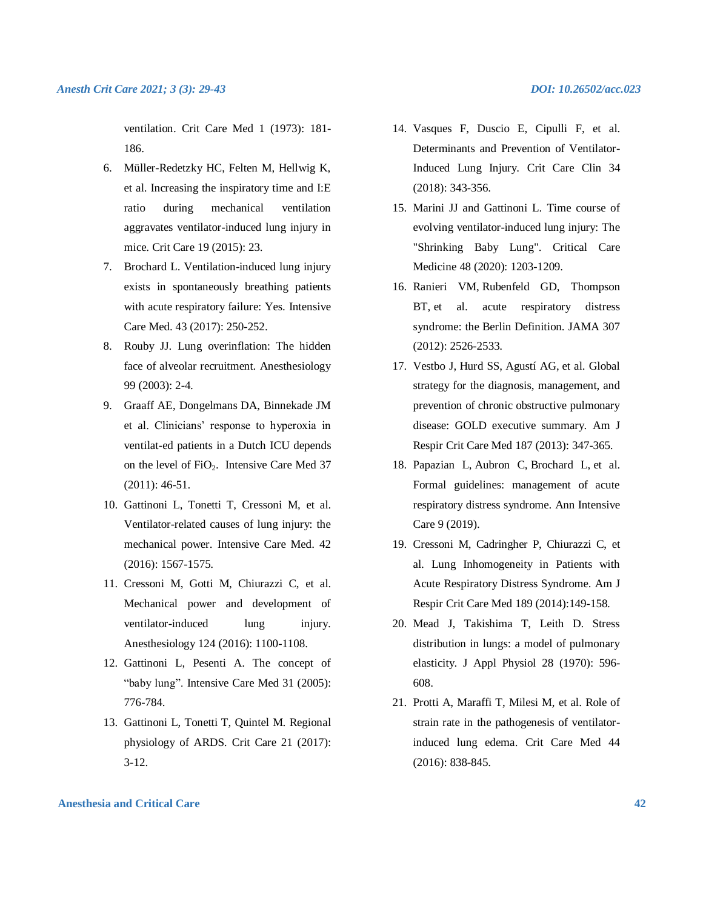ventilation. Crit Care Med 1 (1973): 181- 186.

- 6. Müller-Redetzky HC, Felten M, Hellwig K, et al. Increasing the inspiratory time and I:E ratio during mechanical ventilation aggravates ventilator-induced lung injury in mice. Crit Care 19 (2015): 23.
- 7. Brochard L. Ventilation-induced lung injury exists in spontaneously breathing patients with acute respiratory failure: Yes. Intensive Care Med. 43 (2017): 250-252.
- 8. Rouby JJ. Lung overinflation: The hidden face of alveolar recruitment. Anesthesiology 99 (2003): 2-4.
- 9. Graaff AE, Dongelmans DA, Binnekade JM et al. Clinicians' response to hyperoxia in ventilat-ed patients in a Dutch ICU depends on the level of FiO<sub>2</sub>. Intensive Care Med 37 (2011): 46-51.
- 10. Gattinoni L, Tonetti T, Cressoni M, et al. Ventilator-related causes of lung injury: the mechanical power. Intensive Care Med. 42 (2016): 1567-1575.
- 11. Cressoni M, Gotti M, Chiurazzi C, et al. Mechanical power and development of ventilator-induced lung injury. Anesthesiology 124 (2016): 1100-1108.
- 12. Gattinoni L, Pesenti A. The concept of "baby lung". Intensive Care Med 31 (2005): 776-784.
- 13. Gattinoni L, Tonetti T, Quintel M. Regional physiology of ARDS. Crit Care 21 (2017): 3-12.
- 14. Vasques F, Duscio E, Cipulli F, et al.
- Determinants and Prevention of Ventilator-Induced Lung Injury. Crit Care Clin 34 (2018): 343-356.
- 15. Marini JJ and Gattinoni L. Time course of evolving ventilator-induced lung injury: The "Shrinking Baby Lung". Critical Care Medicine 48 (2020): 1203-1209.
- 16. Ranieri VM, Rubenfeld GD, Thompson BT, et al. acute respiratory distress syndrome: the Berlin Definition. JAMA 307 (2012): 2526-2533.
- 17. Vestbo J, Hurd SS, Agustí AG, et al. Global strategy for the diagnosis, management, and prevention of chronic obstructive pulmonary disease: GOLD executive summary. Am J Respir Crit Care Med 187 (2013): 347-365.
- 18. Papazian L, Aubron C, Brochard L, et al. Formal guidelines: management of acute respiratory distress syndrome. Ann Intensive Care 9 (2019).
- 19. Cressoni M, Cadringher P, Chiurazzi C, et al. Lung Inhomogeneity in Patients with Acute Respiratory Distress Syndrome. Am J Respir Crit Care Med 189 (2014):149-158.
- 20. Mead J, Takishima T, Leith D. Stress distribution in lungs: a model of pulmonary elasticity. J Appl Physiol 28 (1970): 596- 608.
- 21. Protti A, Maraffi T, Milesi M, et al. Role of strain rate in the pathogenesis of ventilatorinduced lung edema. Crit Care Med 44 (2016): 838-845.